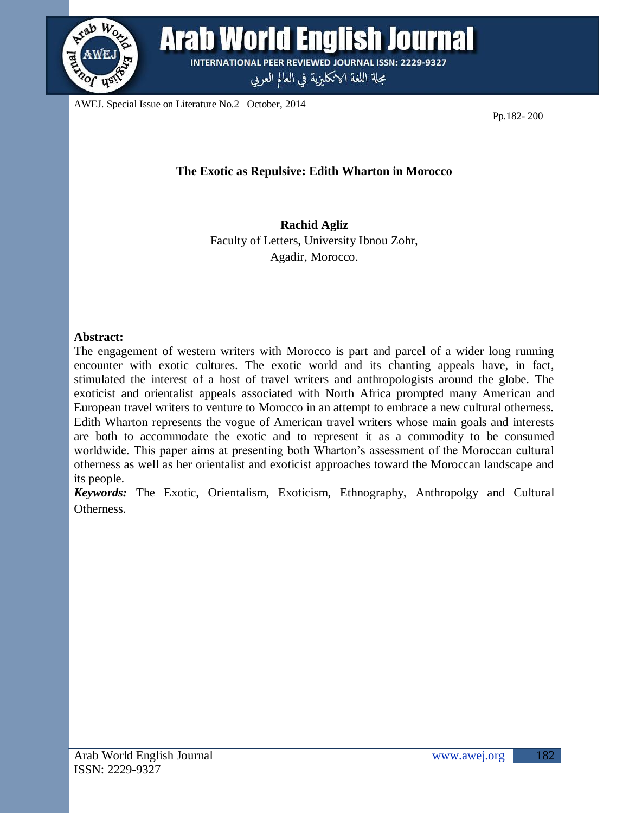

**Arab World English Journal INTERNATIONAL PEER REVIEWED JOURNAL ISSN: 2229-9327** 

مجلة اللغة الانكليزية في العالم العربي

AWEJ. Special Issue on Literature No.2 October, 2014

Pp.182- 200

## **The Exotic as Repulsive: Edith Wharton in Morocco**

**Rachid Agliz** Faculty of Letters, University Ibnou Zohr, Agadir, Morocco.

#### **Abstract:**

The engagement of western writers with Morocco is part and parcel of a wider long running encounter with exotic cultures. The exotic world and its chanting appeals have, in fact, stimulated the interest of a host of travel writers and anthropologists around the globe. The exoticist and orientalist appeals associated with North Africa prompted many American and European travel writers to venture to Morocco in an attempt to embrace a new cultural otherness. Edith Wharton represents the vogue of American travel writers whose main goals and interests are both to accommodate the exotic and to represent it as a commodity to be consumed worldwide. This paper aims at presenting both Wharton's assessment of the Moroccan cultural otherness as well as her orientalist and exoticist approaches toward the Moroccan landscape and its people.

*Keywords:* The Exotic, Orientalism, Exoticism, Ethnography, Anthropolgy and Cultural Otherness.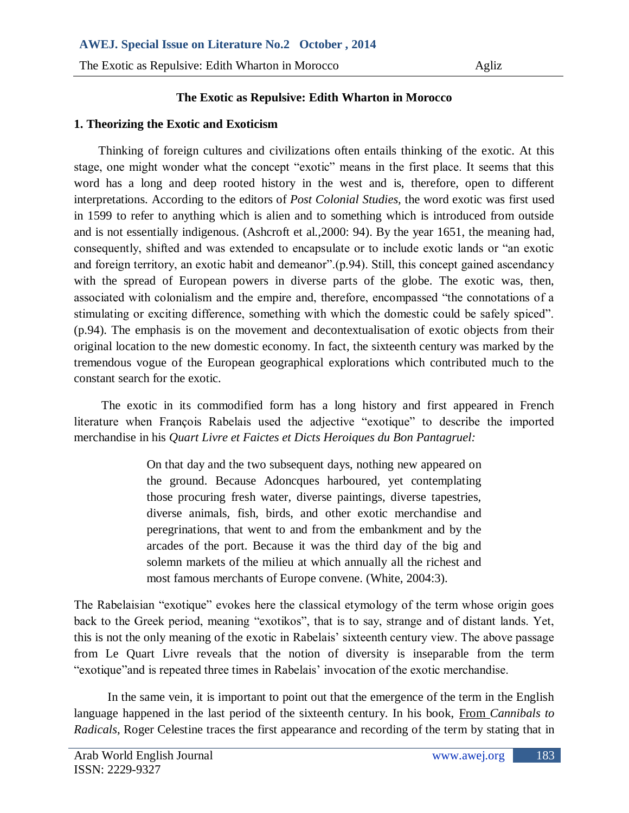The Exotic as Repulsive: Edith Wharton in Morocco Agliz

#### **The Exotic as Repulsive: Edith Wharton in Morocco**

# **1. Theorizing the Exotic and Exoticism**

 Thinking of foreign cultures and civilizations often entails thinking of the exotic. At this stage, one might wonder what the concept "exotic" means in the first place. It seems that this word has a long and deep rooted history in the west and is, therefore, open to different interpretations. According to the editors of *Post Colonial Studies,* the word exotic was first used in 1599 to refer to anything which is alien and to something which is introduced from outside and is not essentially indigenous. (Ashcroft et al.,2000: 94). By the year 1651, the meaning had, consequently, shifted and was extended to encapsulate or to include exotic lands or "an exotic and foreign territory, an exotic habit and demeanor".(p.94). Still, this concept gained ascendancy with the spread of European powers in diverse parts of the globe. The exotic was, then, associated with colonialism and the empire and, therefore, encompassed "the connotations of a stimulating or exciting difference, something with which the domestic could be safely spiced". (p.94). The emphasis is on the movement and decontextualisation of exotic objects from their original location to the new domestic economy. In fact, the sixteenth century was marked by the tremendous vogue of the European geographical explorations which contributed much to the constant search for the exotic.

 The exotic in its commodified form has a long history and first appeared in French literature when François Rabelais used the adjective "exotique" to describe the imported merchandise in his *Quart Livre et Faictes et Dicts Heroiques du Bon Pantagruel:*

> On that day and the two subsequent days, nothing new appeared on the ground. Because Adoncques harboured, yet contemplating those procuring fresh water, diverse paintings, diverse tapestries, diverse animals, fish, birds, and other exotic merchandise and peregrinations, that went to and from the embankment and by the arcades of the port. Because it was the third day of the big and solemn markets of the milieu at which annually all the richest and most famous merchants of Europe convene. (White, 2004:3).

The Rabelaisian "exotique" evokes here the classical etymology of the term whose origin goes back to the Greek period, meaning "exotikos", that is to say, strange and of distant lands. Yet, this is not the only meaning of the exotic in Rabelais' sixteenth century view. The above passage from Le Quart Livre reveals that the notion of diversity is inseparable from the term "exotique"and is repeated three times in Rabelais' invocation of the exotic merchandise.

 In the same vein, it is important to point out that the emergence of the term in the English language happened in the last period of the sixteenth century. In his book, From *Cannibals to Radicals*, Roger Celestine traces the first appearance and recording of the term by stating that in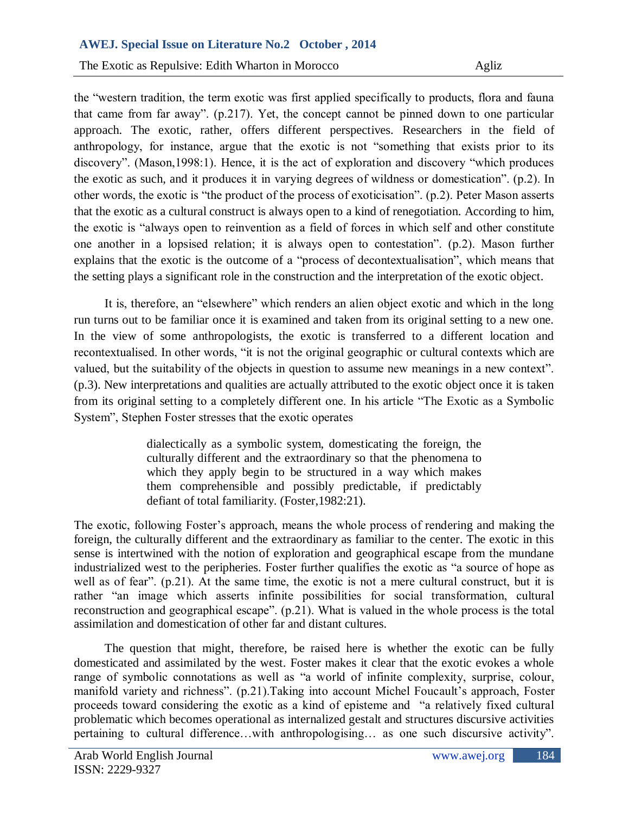The Exotic as Repulsive: Edith Wharton in Morocco Agliz

the "western tradition, the term exotic was first applied specifically to products, flora and fauna that came from far away". (p.217). Yet, the concept cannot be pinned down to one particular approach. The exotic, rather, offers different perspectives. Researchers in the field of anthropology, for instance, argue that the exotic is not "something that exists prior to its discovery". (Mason,1998:1). Hence, it is the act of exploration and discovery "which produces the exotic as such, and it produces it in varying degrees of wildness or domestication". (p.2). In other words, the exotic is "the product of the process of exoticisation". (p.2). Peter Mason asserts that the exotic as a cultural construct is always open to a kind of renegotiation. According to him, the exotic is "always open to reinvention as a field of forces in which self and other constitute one another in a lopsised relation; it is always open to contestation". (p.2). Mason further explains that the exotic is the outcome of a "process of decontextualisation", which means that the setting plays a significant role in the construction and the interpretation of the exotic object.

 It is, therefore, an "elsewhere" which renders an alien object exotic and which in the long run turns out to be familiar once it is examined and taken from its original setting to a new one. In the view of some anthropologists, the exotic is transferred to a different location and recontextualised. In other words, "it is not the original geographic or cultural contexts which are valued, but the suitability of the objects in question to assume new meanings in a new context". (p.3). New interpretations and qualities are actually attributed to the exotic object once it is taken from its original setting to a completely different one. In his article "The Exotic as a Symbolic System", Stephen Foster stresses that the exotic operates

> dialectically as a symbolic system, domesticating the foreign, the culturally different and the extraordinary so that the phenomena to which they apply begin to be structured in a way which makes them comprehensible and possibly predictable, if predictably defiant of total familiarity. (Foster,1982:21).

The exotic, following Foster's approach, means the whole process of rendering and making the foreign, the culturally different and the extraordinary as familiar to the center. The exotic in this sense is intertwined with the notion of exploration and geographical escape from the mundane industrialized west to the peripheries. Foster further qualifies the exotic as "a source of hope as well as of fear". (p.21). At the same time, the exotic is not a mere cultural construct, but it is rather "an image which asserts infinite possibilities for social transformation, cultural reconstruction and geographical escape". (p.21). What is valued in the whole process is the total assimilation and domestication of other far and distant cultures.

 The question that might, therefore, be raised here is whether the exotic can be fully domesticated and assimilated by the west. Foster makes it clear that the exotic evokes a whole range of symbolic connotations as well as "a world of infinite complexity, surprise, colour, manifold variety and richness". (p.21).Taking into account Michel Foucault's approach, Foster proceeds toward considering the exotic as a kind of episteme and "a relatively fixed cultural problematic which becomes operational as internalized gestalt and structures discursive activities pertaining to cultural difference…with anthropologising… as one such discursive activity".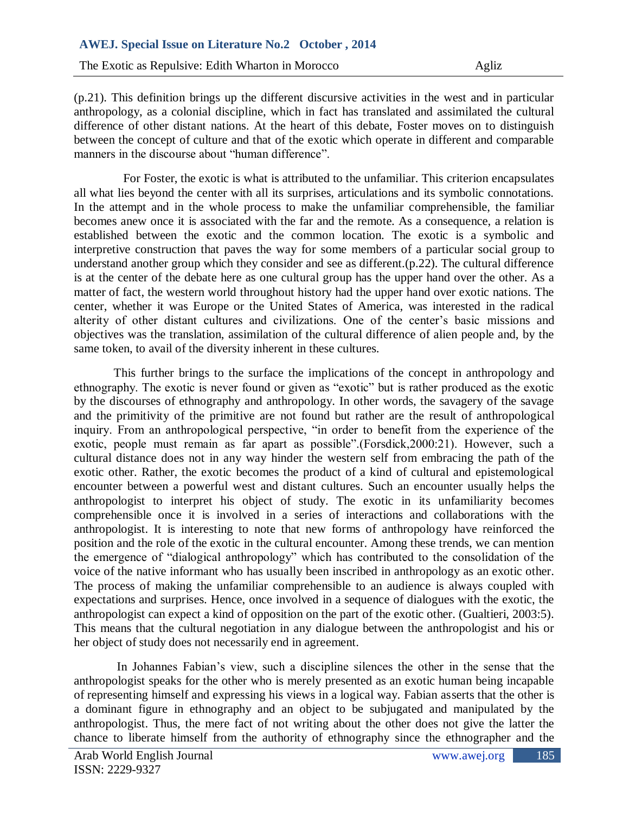The Exotic as Repulsive: Edith Wharton in Morocco Agliz

(p.21). This definition brings up the different discursive activities in the west and in particular difference of other distant nations. At the heart of this debate, Foster moves on to distinguish difference of other distant nations. At the heart of this debate, Foster moves on to distinguish anthropology, as a colonial discipline, which in fact has translated and assimilated the cultural between the concept of culture and that of the exotic which operate in different and comparable manners in the discourse about "human difference".

 For Foster, the exotic is what is attributed to the unfamiliar. This criterion encapsulates all what lies beyond the center with all its surprises, articulations and its symbolic connotations. In the attempt and in the whole process to make the unfamiliar comprehensible, the familiar becomes anew once it is associated with the far and the remote. As a consequence, a relation is established between the exotic and the common location. The exotic is a symbolic and interpretive construction that paves the way for some members of a particular social group to understand another group which they consider and see as different.(p.22). The cultural difference is at the center of the debate here as one cultural group has the upper hand over the other. As a matter of fact, the western world throughout history had the upper hand over exotic nations. The center, whether it was Europe or the United States of America, was interested in the radical alterity of other distant cultures and civilizations. One of the center's basic missions and objectives was the translation, assimilation of the cultural difference of alien people and, by the same token, to avail of the diversity inherent in these cultures.

 This further brings to the surface the implications of the concept in anthropology and ethnography. The exotic is never found or given as "exotic" but is rather produced as the exotic by the discourses of ethnography and anthropology. In other words, the savagery of the savage and the primitivity of the primitive are not found but rather are the result of anthropological inquiry. From an anthropological perspective, "in order to benefit from the experience of the exotic, people must remain as far apart as possible".(Forsdick,2000:21). However, such a cultural distance does not in any way hinder the western self from embracing the path of the exotic other. Rather, the exotic becomes the product of a kind of cultural and epistemological encounter between a powerful west and distant cultures. Such an encounter usually helps the anthropologist to interpret his object of study. The exotic in its unfamiliarity becomes comprehensible once it is involved in a series of interactions and collaborations with the anthropologist. It is interesting to note that new forms of anthropology have reinforced the position and the role of the exotic in the cultural encounter. Among these trends, we can mention the emergence of "dialogical anthropology" which has contributed to the consolidation of the voice of the native informant who has usually been inscribed in anthropology as an exotic other. The process of making the unfamiliar comprehensible to an audience is always coupled with expectations and surprises. Hence, once involved in a sequence of dialogues with the exotic, the anthropologist can expect a kind of opposition on the part of the exotic other. (Gualtieri, 2003:5). This means that the cultural negotiation in any dialogue between the anthropologist and his or her object of study does not necessarily end in agreement.

 In Johannes Fabian's view, such a discipline silences the other in the sense that the anthropologist speaks for the other who is merely presented as an exotic human being incapable of representing himself and expressing his views in a logical way. Fabian asserts that the other is a dominant figure in ethnography and an object to be subjugated and manipulated by the anthropologist. Thus, the mere fact of not writing about the other does not give the latter the chance to liberate himself from the authority of ethnography since the ethnographer and the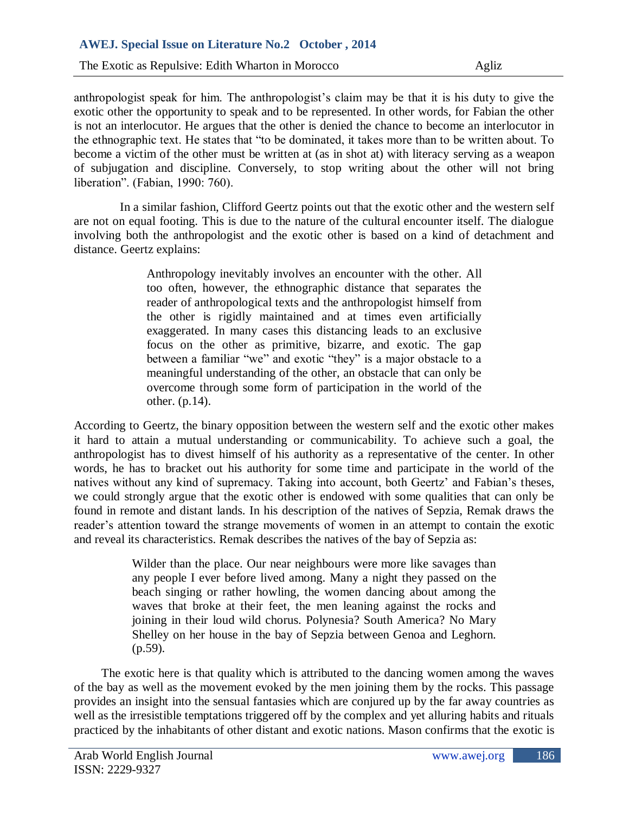The Exotic as Repulsive: Edith Wharton in Morocco Agliz

anthropologist speak for him. The anthropologist's claim may be that it is his duty to give the Exotic other the opportunity to speak and to be represented. In other words, for I abian the other is not an interlocutor. He argues that the other is denied the chance to become an interlocutor in exotic other the opportunity to speak and to be represented. In other words, for Fabian the other the ethnographic text. He states that "to be dominated, it takes more than to be written about. To become a victim of the other must be written at (as in shot at) with literacy serving as a weapon of subjugation and discipline. Conversely, to stop writing about the other will not bring liberation". (Fabian, 1990: 760).

 In a similar fashion, Clifford Geertz points out that the exotic other and the western self are not on equal footing. This is due to the nature of the cultural encounter itself. The dialogue involving both the anthropologist and the exotic other is based on a kind of detachment and distance. Geertz explains:

> Anthropology inevitably involves an encounter with the other. All too often, however, the ethnographic distance that separates the reader of anthropological texts and the anthropologist himself from the other is rigidly maintained and at times even artificially exaggerated. In many cases this distancing leads to an exclusive focus on the other as primitive, bizarre, and exotic. The gap between a familiar "we" and exotic "they" is a major obstacle to a meaningful understanding of the other, an obstacle that can only be overcome through some form of participation in the world of the other. (p.14).

According to Geertz, the binary opposition between the western self and the exotic other makes it hard to attain a mutual understanding or communicability. To achieve such a goal, the anthropologist has to divest himself of his authority as a representative of the center. In other words, he has to bracket out his authority for some time and participate in the world of the natives without any kind of supremacy. Taking into account, both Geertz' and Fabian's theses, we could strongly argue that the exotic other is endowed with some qualities that can only be found in remote and distant lands. In his description of the natives of Sepzia, Remak draws the reader's attention toward the strange movements of women in an attempt to contain the exotic and reveal its characteristics. Remak describes the natives of the bay of Sepzia as:

> Wilder than the place. Our near neighbours were more like savages than any people I ever before lived among. Many a night they passed on the beach singing or rather howling, the women dancing about among the waves that broke at their feet, the men leaning against the rocks and joining in their loud wild chorus. Polynesia? South America? No Mary Shelley on her house in the bay of Sepzia between Genoa and Leghorn. (p.59).

 The exotic here is that quality which is attributed to the dancing women among the waves of the bay as well as the movement evoked by the men joining them by the rocks. This passage provides an insight into the sensual fantasies which are conjured up by the far away countries as well as the irresistible temptations triggered off by the complex and yet alluring habits and rituals practiced by the inhabitants of other distant and exotic nations. Mason confirms that the exotic is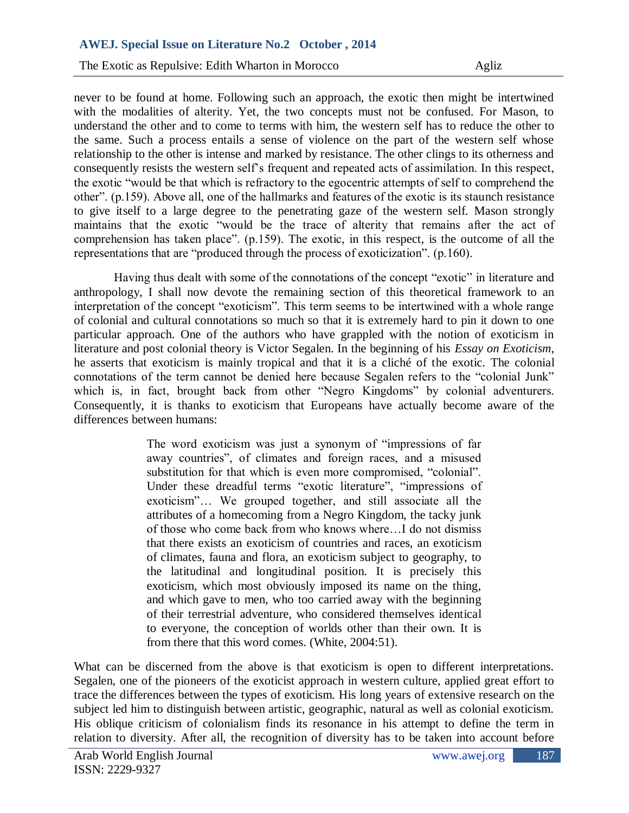The Exotic as Repulsive: Edith Wharton in Morocco Agliz

never to be found at home. Following such an approach, the exotic then might be intertwined with the modalities of alterny. Tet, the two concepts must not be comused. To mason, to understand the other and to come to terms with him, the western self has to reduce the other to with the modalities of alterity. Yet, the two concepts must not be confused. For Mason, to the same. Such a process entails a sense of violence on the part of the western self whose relationship to the other is intense and marked by resistance. The other clings to its otherness and consequently resists the western self's frequent and repeated acts of assimilation. In this respect, the exotic "would be that which is refractory to the egocentric attempts of self to comprehend the other". (p.159). Above all, one of the hallmarks and features of the exotic is its staunch resistance to give itself to a large degree to the penetrating gaze of the western self. Mason strongly maintains that the exotic "would be the trace of alterity that remains after the act of comprehension has taken place". (p.159). The exotic, in this respect, is the outcome of all the representations that are "produced through the process of exoticization". (p.160).

 Having thus dealt with some of the connotations of the concept "exotic" in literature and anthropology, I shall now devote the remaining section of this theoretical framework to an interpretation of the concept "exoticism". This term seems to be intertwined with a whole range of colonial and cultural connotations so much so that it is extremely hard to pin it down to one particular approach. One of the authors who have grappled with the notion of exoticism in literature and post colonial theory is Victor Segalen. In the beginning of his *Essay on Exoticism*, he asserts that exoticism is mainly tropical and that it is a cliché of the exotic. The colonial connotations of the term cannot be denied here because Segalen refers to the "colonial Junk" which is, in fact, brought back from other "Negro Kingdoms" by colonial adventurers. Consequently, it is thanks to exoticism that Europeans have actually become aware of the differences between humans:

> The word exoticism was just a synonym of "impressions of far away countries", of climates and foreign races, and a misused substitution for that which is even more compromised, "colonial". Under these dreadful terms "exotic literature", "impressions of exoticism"… We grouped together, and still associate all the attributes of a homecoming from a Negro Kingdom, the tacky junk of those who come back from who knows where…I do not dismiss that there exists an exoticism of countries and races, an exoticism of climates, fauna and flora, an exoticism subject to geography, to the latitudinal and longitudinal position. It is precisely this exoticism, which most obviously imposed its name on the thing, and which gave to men, who too carried away with the beginning of their terrestrial adventure, who considered themselves identical to everyone, the conception of worlds other than their own. It is from there that this word comes. (White, 2004:51).

What can be discerned from the above is that exoticism is open to different interpretations. Segalen, one of the pioneers of the exoticist approach in western culture, applied great effort to trace the differences between the types of exoticism. His long years of extensive research on the subject led him to distinguish between artistic, geographic, natural as well as colonial exoticism. His oblique criticism of colonialism finds its resonance in his attempt to define the term in relation to diversity. After all, the recognition of diversity has to be taken into account before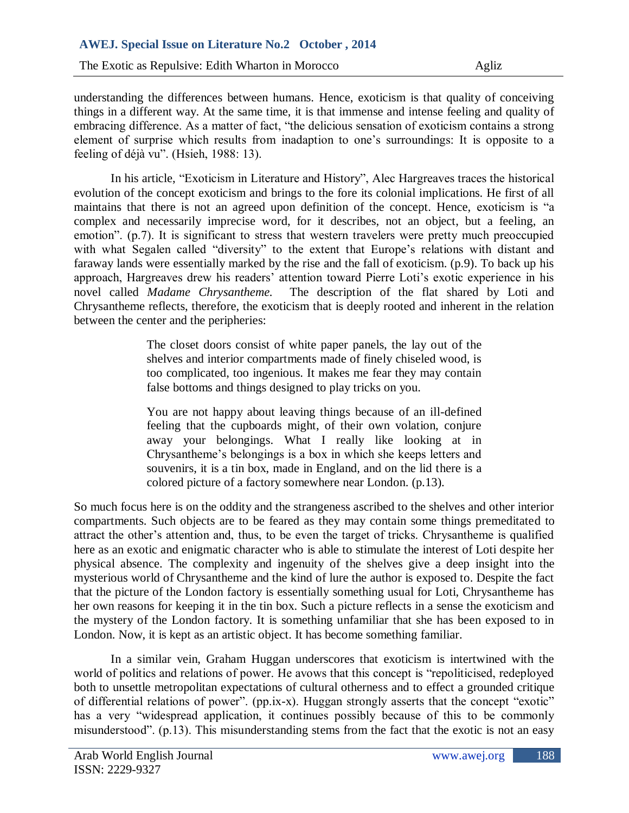The Exotic as Repulsive: Edith Wharton in Morocco Agliz

understanding the differences between humans. Hence, exoticism is that quality of conceiving embracing difference. As a matter of fact, "the delicious sensation of exoticism contains a strong things in a different way. At the same time, it is that immense and intense feeling and quality of element of surprise which results from inadaption to one's surroundings: It is opposite to a feeling of déjà vu". (Hsieh, 1988: 13).

 In his article, "Exoticism in Literature and History", Alec Hargreaves traces the historical evolution of the concept exoticism and brings to the fore its colonial implications. He first of all maintains that there is not an agreed upon definition of the concept. Hence, exoticism is "a complex and necessarily imprecise word, for it describes, not an object, but a feeling, an emotion". (p.7). It is significant to stress that western travelers were pretty much preoccupied with what Segalen called "diversity" to the extent that Europe's relations with distant and faraway lands were essentially marked by the rise and the fall of exoticism. (p.9). To back up his approach, Hargreaves drew his readers' attention toward Pierre Loti's exotic experience in his novel called *Madame Chrysantheme.* The description of the flat shared by Loti and Chrysantheme reflects, therefore, the exoticism that is deeply rooted and inherent in the relation between the center and the peripheries:

> The closet doors consist of white paper panels, the lay out of the shelves and interior compartments made of finely chiseled wood, is too complicated, too ingenious. It makes me fear they may contain false bottoms and things designed to play tricks on you.

> You are not happy about leaving things because of an ill-defined feeling that the cupboards might, of their own volation, conjure away your belongings. What I really like looking at in Chrysantheme's belongings is a box in which she keeps letters and souvenirs, it is a tin box, made in England, and on the lid there is a colored picture of a factory somewhere near London. (p.13).

So much focus here is on the oddity and the strangeness ascribed to the shelves and other interior compartments. Such objects are to be feared as they may contain some things premeditated to attract the other's attention and, thus, to be even the target of tricks. Chrysantheme is qualified here as an exotic and enigmatic character who is able to stimulate the interest of Loti despite her physical absence. The complexity and ingenuity of the shelves give a deep insight into the mysterious world of Chrysantheme and the kind of lure the author is exposed to. Despite the fact that the picture of the London factory is essentially something usual for Loti, Chrysantheme has her own reasons for keeping it in the tin box. Such a picture reflects in a sense the exoticism and the mystery of the London factory. It is something unfamiliar that she has been exposed to in London. Now, it is kept as an artistic object. It has become something familiar.

 In a similar vein, Graham Huggan underscores that exoticism is intertwined with the world of politics and relations of power. He avows that this concept is "repoliticised, redeployed both to unsettle metropolitan expectations of cultural otherness and to effect a grounded critique of differential relations of power". (pp.ix-x). Huggan strongly asserts that the concept "exotic" has a very "widespread application, it continues possibly because of this to be commonly misunderstood". (p.13). This misunderstanding stems from the fact that the exotic is not an easy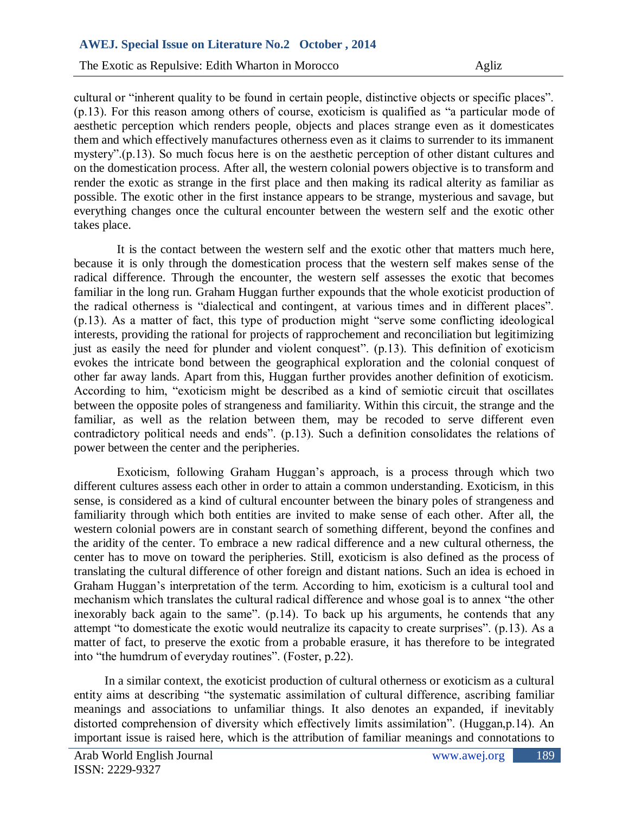The Exotic as Repulsive: Edith Wharton in Morocco Agliz

cultural or "inherent quality to be found in certain people, distinctive objects or specific places". (p.15). For this reason allong others of course, exoticism is qualified as a particular floue of aesthetic perception which renders people, objects and places strange even as it domesticates (p.13). For this reason among others of course, exoticism is qualified as "a particular mode of them and which effectively manufactures otherness even as it claims to surrender to its immanent mystery".(p.13). So much focus here is on the aesthetic perception of other distant cultures and on the domestication process. After all, the western colonial powers objective is to transform and render the exotic as strange in the first place and then making its radical alterity as familiar as possible. The exotic other in the first instance appears to be strange, mysterious and savage, but everything changes once the cultural encounter between the western self and the exotic other takes place.

 It is the contact between the western self and the exotic other that matters much here, because it is only through the domestication process that the western self makes sense of the radical difference. Through the encounter, the western self assesses the exotic that becomes familiar in the long run. Graham Huggan further expounds that the whole exoticist production of the radical otherness is "dialectical and contingent, at various times and in different places". (p.13). As a matter of fact, this type of production might "serve some conflicting ideological interests, providing the rational for projects of rapprochement and reconciliation but legitimizing just as easily the need for plunder and violent conquest". (p.13). This definition of exoticism evokes the intricate bond between the geographical exploration and the colonial conquest of other far away lands. Apart from this, Huggan further provides another definition of exoticism. According to him, "exoticism might be described as a kind of semiotic circuit that oscillates between the opposite poles of strangeness and familiarity. Within this circuit, the strange and the familiar, as well as the relation between them, may be recoded to serve different even contradictory political needs and ends". (p.13). Such a definition consolidates the relations of power between the center and the peripheries.

 Exoticism, following Graham Huggan's approach, is a process through which two different cultures assess each other in order to attain a common understanding. Exoticism, in this sense, is considered as a kind of cultural encounter between the binary poles of strangeness and familiarity through which both entities are invited to make sense of each other. After all, the western colonial powers are in constant search of something different, beyond the confines and the aridity of the center. To embrace a new radical difference and a new cultural otherness, the center has to move on toward the peripheries. Still, exoticism is also defined as the process of translating the cultural difference of other foreign and distant nations. Such an idea is echoed in Graham Huggan's interpretation of the term. According to him, exoticism is a cultural tool and mechanism which translates the cultural radical difference and whose goal is to annex "the other inexorably back again to the same". (p.14). To back up his arguments, he contends that any attempt "to domesticate the exotic would neutralize its capacity to create surprises". (p.13). As a matter of fact, to preserve the exotic from a probable erasure, it has therefore to be integrated into "the humdrum of everyday routines". (Foster, p.22).

 In a similar context, the exoticist production of cultural otherness or exoticism as a cultural entity aims at describing "the systematic assimilation of cultural difference, ascribing familiar meanings and associations to unfamiliar things. It also denotes an expanded, if inevitably distorted comprehension of diversity which effectively limits assimilation". (Huggan,p.14). An important issue is raised here, which is the attribution of familiar meanings and connotations to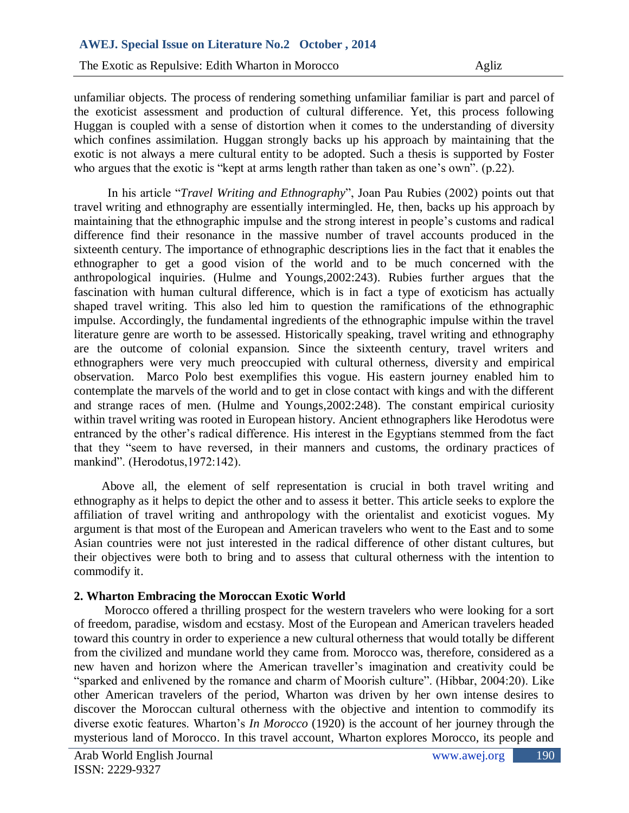The Exotic as Repulsive: Edith Wharton in Morocco Agliz

unfamiliar objects. The process of rendering something unfamiliar familiar is part and parcel of Huggan is coupled with a sense of distortion when it comes to the understanding of diversity the exoticist assessment and production of cultural difference. Yet, this process following which confines assimilation. Huggan strongly backs up his approach by maintaining that the exotic is not always a mere cultural entity to be adopted. Such a thesis is supported by Foster who argues that the exotic is "kept at arms length rather than taken as one's own". (p.22).

 In his article "*Travel Writing and Ethnography*", Joan Pau Rubies (2002) points out that travel writing and ethnography are essentially intermingled. He, then, backs up his approach by maintaining that the ethnographic impulse and the strong interest in people's customs and radical difference find their resonance in the massive number of travel accounts produced in the sixteenth century. The importance of ethnographic descriptions lies in the fact that it enables the ethnographer to get a good vision of the world and to be much concerned with the anthropological inquiries. (Hulme and Youngs,2002:243). Rubies further argues that the fascination with human cultural difference, which is in fact a type of exoticism has actually shaped travel writing. This also led him to question the ramifications of the ethnographic impulse. Accordingly, the fundamental ingredients of the ethnographic impulse within the travel literature genre are worth to be assessed. Historically speaking, travel writing and ethnography are the outcome of colonial expansion. Since the sixteenth century, travel writers and ethnographers were very much preoccupied with cultural otherness, diversity and empirical observation. Marco Polo best exemplifies this vogue. His eastern journey enabled him to contemplate the marvels of the world and to get in close contact with kings and with the different and strange races of men. (Hulme and Youngs,2002:248). The constant empirical curiosity within travel writing was rooted in European history. Ancient ethnographers like Herodotus were entranced by the other's radical difference. His interest in the Egyptians stemmed from the fact that they "seem to have reversed, in their manners and customs, the ordinary practices of mankind". (Herodotus,1972:142).

 Above all, the element of self representation is crucial in both travel writing and ethnography as it helps to depict the other and to assess it better. This article seeks to explore the affiliation of travel writing and anthropology with the orientalist and exoticist vogues. My argument is that most of the European and American travelers who went to the East and to some Asian countries were not just interested in the radical difference of other distant cultures, but their objectives were both to bring and to assess that cultural otherness with the intention to commodify it.

#### **2. Wharton Embracing the Moroccan Exotic World**

Morocco offered a thrilling prospect for the western travelers who were looking for a sort of freedom, paradise, wisdom and ecstasy. Most of the European and American travelers headed toward this country in order to experience a new cultural otherness that would totally be different from the civilized and mundane world they came from. Morocco was, therefore, considered as a new haven and horizon where the American traveller's imagination and creativity could be "sparked and enlivened by the romance and charm of Moorish culture". (Hibbar, 2004:20). Like other American travelers of the period, Wharton was driven by her own intense desires to discover the Moroccan cultural otherness with the objective and intention to commodify its diverse exotic features. Wharton's *In Morocco* (1920) is the account of her journey through the mysterious land of Morocco. In this travel account, Wharton explores Morocco, its people and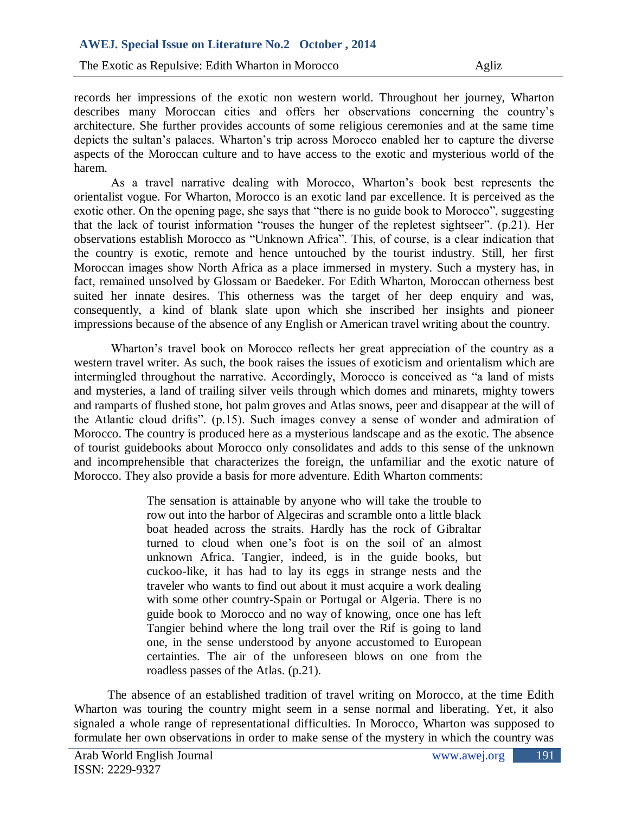The Exotic as Repulsive: Edith Wharton in Morocco Agliz

records her impressions of the exotic non western world. Throughout her journey, Wharton acserioes many Morocean entes and offers her observations concerning the country's architecture. She further provides accounts of some religious ceremonies and at the same time describes many Moroccan cities and offers her observations concerning the country's depicts the sultan's palaces. Wharton's trip across Morocco enabled her to capture the diverse aspects of the Moroccan culture and to have access to the exotic and mysterious world of the harem.

 As a travel narrative dealing with Morocco, Wharton's book best represents the orientalist vogue. For Wharton, Morocco is an exotic land par excellence. It is perceived as the exotic other. On the opening page, she says that "there is no guide book to Morocco", suggesting that the lack of tourist information "rouses the hunger of the repletest sightseer". (p.21). Her observations establish Morocco as "Unknown Africa". This, of course, is a clear indication that the country is exotic, remote and hence untouched by the tourist industry. Still, her first Moroccan images show North Africa as a place immersed in mystery. Such a mystery has, in fact, remained unsolved by Glossam or Baedeker. For Edith Wharton, Moroccan otherness best suited her innate desires. This otherness was the target of her deep enquiry and was, consequently, a kind of blank slate upon which she inscribed her insights and pioneer impressions because of the absence of any English or American travel writing about the country.

 Wharton's travel book on Morocco reflects her great appreciation of the country as a western travel writer. As such, the book raises the issues of exoticism and orientalism which are intermingled throughout the narrative. Accordingly, Morocco is conceived as "a land of mists and mysteries, a land of trailing silver veils through which domes and minarets, mighty towers and ramparts of flushed stone, hot palm groves and Atlas snows, peer and disappear at the will of the Atlantic cloud drifts". (p.15). Such images convey a sense of wonder and admiration of Morocco. The country is produced here as a mysterious landscape and as the exotic. The absence of tourist guidebooks about Morocco only consolidates and adds to this sense of the unknown and incomprehensible that characterizes the foreign, the unfamiliar and the exotic nature of Morocco. They also provide a basis for more adventure. Edith Wharton comments:

> The sensation is attainable by anyone who will take the trouble to row out into the harbor of Algeciras and scramble onto a little black boat headed across the straits. Hardly has the rock of Gibraltar turned to cloud when one's foot is on the soil of an almost unknown Africa. Tangier, indeed, is in the guide books, but cuckoo-like, it has had to lay its eggs in strange nests and the traveler who wants to find out about it must acquire a work dealing with some other country-Spain or Portugal or Algeria. There is no guide book to Morocco and no way of knowing, once one has left Tangier behind where the long trail over the Rif is going to land one, in the sense understood by anyone accustomed to European certainties. The air of the unforeseen blows on one from the roadless passes of the Atlas. (p.21).

 The absence of an established tradition of travel writing on Morocco, at the time Edith Wharton was touring the country might seem in a sense normal and liberating. Yet, it also signaled a whole range of representational difficulties. In Morocco, Wharton was supposed to formulate her own observations in order to make sense of the mystery in which the country was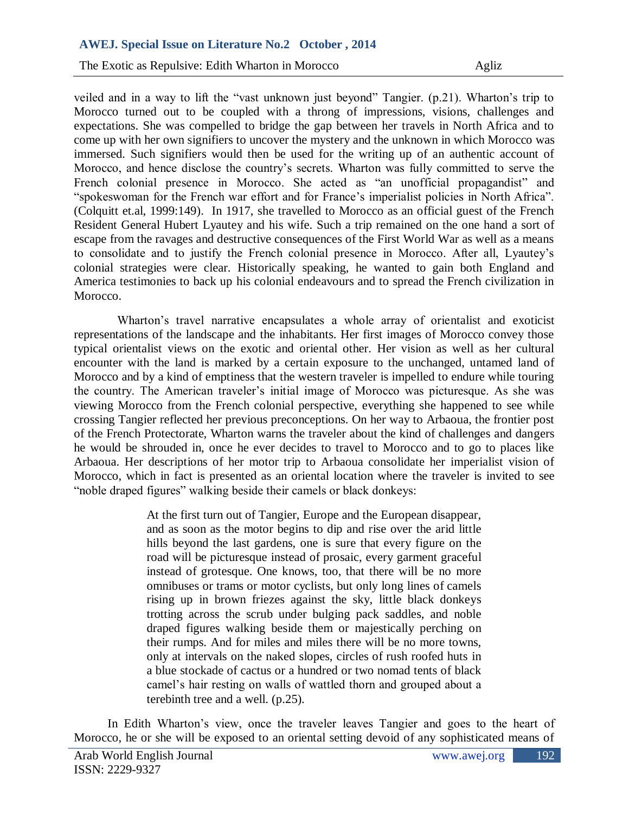The Exotic as Repulsive: Edith Wharton in Morocco Agliz

veiled and in a way to lift the "vast unknown just beyond" Tangier. (p.21). Wharton's trip to expectations. She was compelled to bridge the gap between her travels in North Africa and to Morocco turned out to be coupled with a throng of impressions, visions, challenges and come up with her own signifiers to uncover the mystery and the unknown in which Morocco was immersed. Such signifiers would then be used for the writing up of an authentic account of Morocco, and hence disclose the country's secrets. Wharton was fully committed to serve the French colonial presence in Morocco. She acted as "an unofficial propagandist" and "spokeswoman for the French war effort and for France's imperialist policies in North Africa". (Colquitt et.al, 1999:149). In 1917, she travelled to Morocco as an official guest of the French Resident General Hubert Lyautey and his wife. Such a trip remained on the one hand a sort of escape from the ravages and destructive consequences of the First World War as well as a means to consolidate and to justify the French colonial presence in Morocco. After all, Lyautey's colonial strategies were clear. Historically speaking, he wanted to gain both England and America testimonies to back up his colonial endeavours and to spread the French civilization in Morocco.

 Wharton's travel narrative encapsulates a whole array of orientalist and exoticist representations of the landscape and the inhabitants. Her first images of Morocco convey those typical orientalist views on the exotic and oriental other. Her vision as well as her cultural encounter with the land is marked by a certain exposure to the unchanged, untamed land of Morocco and by a kind of emptiness that the western traveler is impelled to endure while touring the country. The American traveler's initial image of Morocco was picturesque. As she was viewing Morocco from the French colonial perspective, everything she happened to see while crossing Tangier reflected her previous preconceptions. On her way to Arbaoua, the frontier post of the French Protectorate, Wharton warns the traveler about the kind of challenges and dangers he would be shrouded in, once he ever decides to travel to Morocco and to go to places like Arbaoua. Her descriptions of her motor trip to Arbaoua consolidate her imperialist vision of Morocco, which in fact is presented as an oriental location where the traveler is invited to see "noble draped figures" walking beside their camels or black donkeys:

> At the first turn out of Tangier, Europe and the European disappear, and as soon as the motor begins to dip and rise over the arid little hills beyond the last gardens, one is sure that every figure on the road will be picturesque instead of prosaic, every garment graceful instead of grotesque. One knows, too, that there will be no more omnibuses or trams or motor cyclists, but only long lines of camels rising up in brown friezes against the sky, little black donkeys trotting across the scrub under bulging pack saddles, and noble draped figures walking beside them or majestically perching on their rumps. And for miles and miles there will be no more towns, only at intervals on the naked slopes, circles of rush roofed huts in a blue stockade of cactus or a hundred or two nomad tents of black camel's hair resting on walls of wattled thorn and grouped about a terebinth tree and a well. (p.25).

 In Edith Wharton's view, once the traveler leaves Tangier and goes to the heart of Morocco, he or she will be exposed to an oriental setting devoid of any sophisticated means of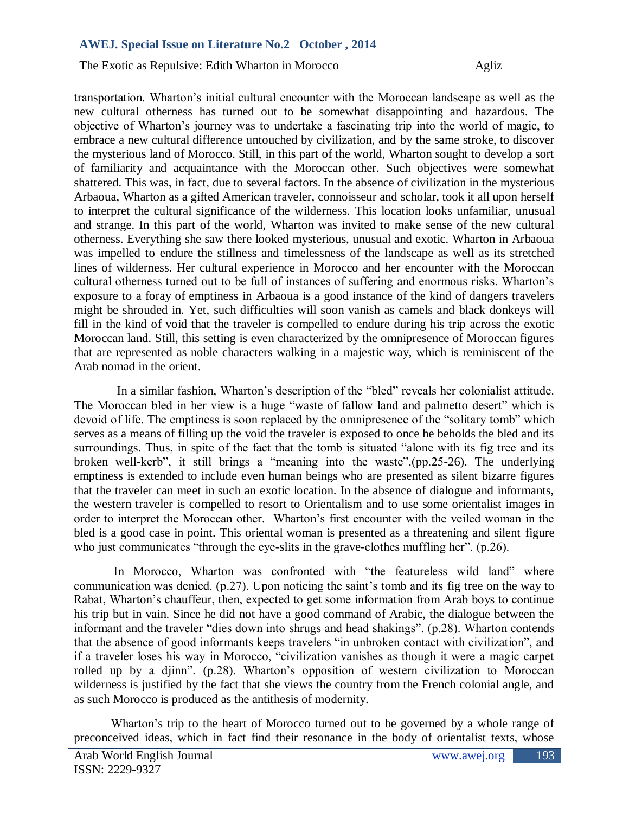The Exotic as Repulsive: Edith Wharton in Morocco Agliz

transportation. Wharton's initial cultural encounter with the Moroccan landscape as well as the hostive of Wharton's journey was to undertake a fascinating trip into the world of magic, to new cultural otherness has turned out to be somewhat disappointing and hazardous. The embrace a new cultural difference untouched by civilization, and by the same stroke, to discover the mysterious land of Morocco. Still, in this part of the world, Wharton sought to develop a sort of familiarity and acquaintance with the Moroccan other. Such objectives were somewhat shattered. This was, in fact, due to several factors. In the absence of civilization in the mysterious Arbaoua, Wharton as a gifted American traveler, connoisseur and scholar, took it all upon herself to interpret the cultural significance of the wilderness. This location looks unfamiliar, unusual and strange. In this part of the world, Wharton was invited to make sense of the new cultural otherness. Everything she saw there looked mysterious, unusual and exotic. Wharton in Arbaoua was impelled to endure the stillness and timelessness of the landscape as well as its stretched lines of wilderness. Her cultural experience in Morocco and her encounter with the Moroccan cultural otherness turned out to be full of instances of suffering and enormous risks. Wharton's exposure to a foray of emptiness in Arbaoua is a good instance of the kind of dangers travelers might be shrouded in. Yet, such difficulties will soon vanish as camels and black donkeys will fill in the kind of void that the traveler is compelled to endure during his trip across the exotic Moroccan land. Still, this setting is even characterized by the omnipresence of Moroccan figures that are represented as noble characters walking in a majestic way, which is reminiscent of the Arab nomad in the orient.

 In a similar fashion, Wharton's description of the "bled" reveals her colonialist attitude. The Moroccan bled in her view is a huge "waste of fallow land and palmetto desert" which is devoid of life. The emptiness is soon replaced by the omnipresence of the "solitary tomb" which serves as a means of filling up the void the traveler is exposed to once he beholds the bled and its surroundings. Thus, in spite of the fact that the tomb is situated "alone with its fig tree and its broken well-kerb", it still brings a "meaning into the waste".(pp.25-26). The underlying emptiness is extended to include even human beings who are presented as silent bizarre figures that the traveler can meet in such an exotic location. In the absence of dialogue and informants, the western traveler is compelled to resort to Orientalism and to use some orientalist images in order to interpret the Moroccan other. Wharton's first encounter with the veiled woman in the bled is a good case in point. This oriental woman is presented as a threatening and silent figure who just communicates "through the eye-slits in the grave-clothes muffling her". (p.26).

In Morocco, Wharton was confronted with "the featureless wild land" where communication was denied. (p.27). Upon noticing the saint's tomb and its fig tree on the way to Rabat, Wharton's chauffeur, then, expected to get some information from Arab boys to continue his trip but in vain. Since he did not have a good command of Arabic, the dialogue between the informant and the traveler "dies down into shrugs and head shakings". (p.28). Wharton contends that the absence of good informants keeps travelers "in unbroken contact with civilization", and if a traveler loses his way in Morocco, "civilization vanishes as though it were a magic carpet rolled up by a djinn". (p.28). Wharton's opposition of western civilization to Moroccan wilderness is justified by the fact that she views the country from the French colonial angle, and as such Morocco is produced as the antithesis of modernity.

 Wharton's trip to the heart of Morocco turned out to be governed by a whole range of preconceived ideas, which in fact find their resonance in the body of orientalist texts, whose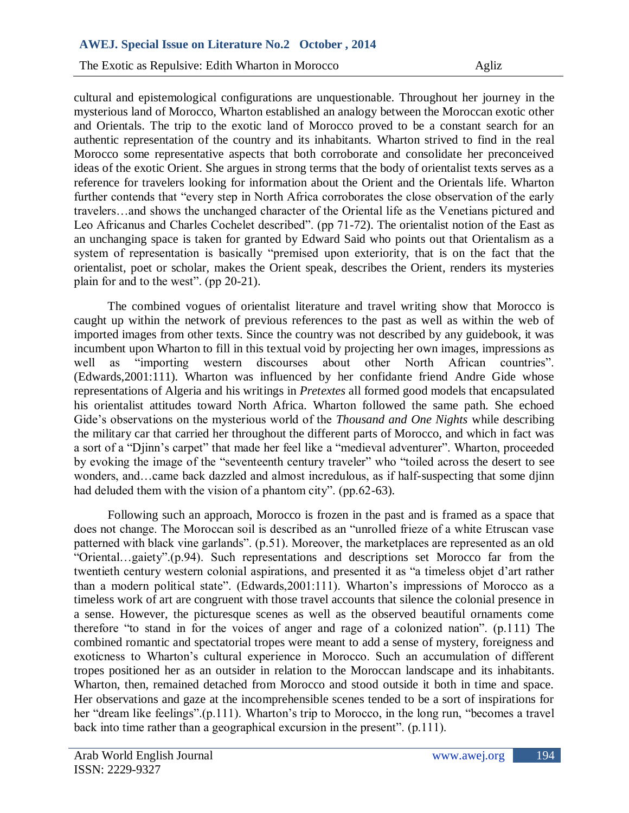The Exotic as Repulsive: Edith Wharton in Morocco Agliz

cultural and epistemological configurations are unquestionable. Throughout her journey in the and Orientals. The trip to the exotic land of Morocco proved to be a constant search for an mysterious land of Morocco, Wharton established an analogy between the Moroccan exotic other authentic representation of the country and its inhabitants. Wharton strived to find in the real Morocco some representative aspects that both corroborate and consolidate her preconceived ideas of the exotic Orient. She argues in strong terms that the body of orientalist texts serves as a reference for travelers looking for information about the Orient and the Orientals life. Wharton further contends that "every step in North Africa corroborates the close observation of the early travelers…and shows the unchanged character of the Oriental life as the Venetians pictured and Leo Africanus and Charles Cochelet described". (pp 71-72). The orientalist notion of the East as an unchanging space is taken for granted by Edward Said who points out that Orientalism as a system of representation is basically "premised upon exteriority, that is on the fact that the orientalist, poet or scholar, makes the Orient speak, describes the Orient, renders its mysteries plain for and to the west". (pp 20-21).

 The combined vogues of orientalist literature and travel writing show that Morocco is caught up within the network of previous references to the past as well as within the web of imported images from other texts. Since the country was not described by any guidebook, it was incumbent upon Wharton to fill in this textual void by projecting her own images, impressions as well as "importing western discourses about other North African countries". (Edwards,2001:111). Wharton was influenced by her confidante friend Andre Gide whose representations of Algeria and his writings in *Pretextes* all formed good models that encapsulated his orientalist attitudes toward North Africa. Wharton followed the same path. She echoed Gide's observations on the mysterious world of the *Thousand and One Nights* while describing the military car that carried her throughout the different parts of Morocco, and which in fact was a sort of a "Djinn's carpet" that made her feel like a "medieval adventurer". Wharton, proceeded by evoking the image of the "seventeenth century traveler" who "toiled across the desert to see wonders, and…came back dazzled and almost incredulous, as if half-suspecting that some djinn had deluded them with the vision of a phantom city". (pp.62-63).

 Following such an approach, Morocco is frozen in the past and is framed as a space that does not change. The Moroccan soil is described as an "unrolled frieze of a white Etruscan vase patterned with black vine garlands". (p.51). Moreover, the marketplaces are represented as an old "Oriental…gaiety".(p.94). Such representations and descriptions set Morocco far from the twentieth century western colonial aspirations, and presented it as "a timeless objet d'art rather than a modern political state". (Edwards,2001:111). Wharton's impressions of Morocco as a timeless work of art are congruent with those travel accounts that silence the colonial presence in a sense. However, the picturesque scenes as well as the observed beautiful ornaments come therefore "to stand in for the voices of anger and rage of a colonized nation". (p.111) The combined romantic and spectatorial tropes were meant to add a sense of mystery, foreigness and exoticness to Wharton's cultural experience in Morocco. Such an accumulation of different tropes positioned her as an outsider in relation to the Moroccan landscape and its inhabitants. Wharton, then, remained detached from Morocco and stood outside it both in time and space. Her observations and gaze at the incomprehensible scenes tended to be a sort of inspirations for her "dream like feelings".(p.111). Wharton's trip to Morocco, in the long run, "becomes a travel back into time rather than a geographical excursion in the present". (p.111).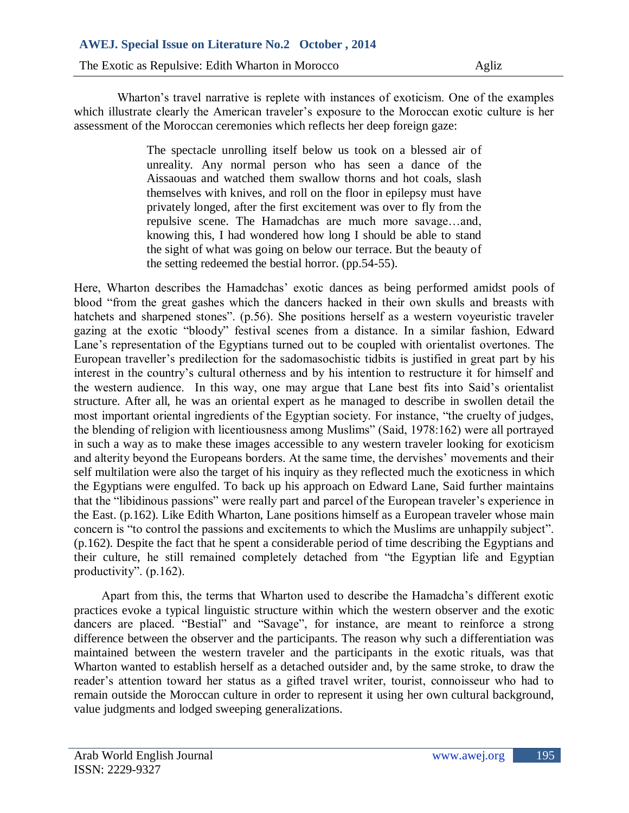The Exotic as Repulsive: Edith Wharton in Morocco Agliz

which mustate clearly the American travelet s exposure to the Moroccan exposure to the Moroccan ceremonies which reflects her deep foreign gaze: Wharton's travel narrative is replete with instances of exoticism. One of the examples which illustrate clearly the American traveler's exposure to the Moroccan exotic culture is her

> The spectacle unrolling itself below us took on a blessed air of unreality. Any normal person who has seen a dance of the Aissaouas and watched them swallow thorns and hot coals, slash themselves with knives, and roll on the floor in epilepsy must have privately longed, after the first excitement was over to fly from the repulsive scene. The Hamadchas are much more savage…and, knowing this, I had wondered how long I should be able to stand the sight of what was going on below our terrace. But the beauty of the setting redeemed the bestial horror. (pp.54-55).

Here, Wharton describes the Hamadchas' exotic dances as being performed amidst pools of blood "from the great gashes which the dancers hacked in their own skulls and breasts with hatchets and sharpened stones". (p.56). She positions herself as a western voyeuristic traveler gazing at the exotic "bloody" festival scenes from a distance. In a similar fashion, Edward Lane's representation of the Egyptians turned out to be coupled with orientalist overtones. The European traveller's predilection for the sadomasochistic tidbits is justified in great part by his interest in the country's cultural otherness and by his intention to restructure it for himself and the western audience. In this way, one may argue that Lane best fits into Said's orientalist structure. After all, he was an oriental expert as he managed to describe in swollen detail the most important oriental ingredients of the Egyptian society. For instance, "the cruelty of judges, the blending of religion with licentiousness among Muslims" (Said, 1978:162) were all portrayed in such a way as to make these images accessible to any western traveler looking for exoticism and alterity beyond the Europeans borders. At the same time, the dervishes' movements and their self multilation were also the target of his inquiry as they reflected much the exoticness in which the Egyptians were engulfed. To back up his approach on Edward Lane, Said further maintains that the "libidinous passions" were really part and parcel of the European traveler's experience in the East. (p.162). Like Edith Wharton, Lane positions himself as a European traveler whose main concern is "to control the passions and excitements to which the Muslims are unhappily subject". (p.162). Despite the fact that he spent a considerable period of time describing the Egyptians and their culture, he still remained completely detached from "the Egyptian life and Egyptian productivity". (p.162).

 Apart from this, the terms that Wharton used to describe the Hamadcha's different exotic practices evoke a typical linguistic structure within which the western observer and the exotic dancers are placed. "Bestial" and "Savage", for instance, are meant to reinforce a strong difference between the observer and the participants. The reason why such a differentiation was maintained between the western traveler and the participants in the exotic rituals, was that Wharton wanted to establish herself as a detached outsider and, by the same stroke, to draw the reader's attention toward her status as a gifted travel writer, tourist, connoisseur who had to remain outside the Moroccan culture in order to represent it using her own cultural background, value judgments and lodged sweeping generalizations.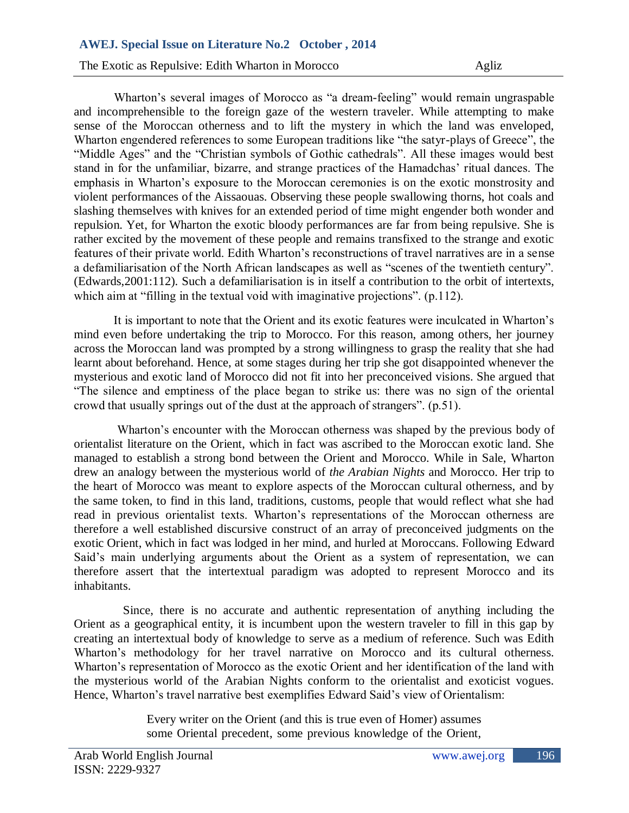The Exotic as Repulsive: Edith Wharton in Morocco Agliz

and meoniprenension to the foreign gaze of the western traveler. While attempting to make Wharton's several images of Morocco as "a dream-feeling" would remain ungraspable and incomprehensible to the foreign gaze of the western traveler. While attempting to make Wharton engendered references to some European traditions like "the satyr-plays of Greece", the "Middle Ages" and the "Christian symbols of Gothic cathedrals". All these images would best stand in for the unfamiliar, bizarre, and strange practices of the Hamadchas' ritual dances. The emphasis in Wharton's exposure to the Moroccan ceremonies is on the exotic monstrosity and violent performances of the Aissaouas. Observing these people swallowing thorns, hot coals and slashing themselves with knives for an extended period of time might engender both wonder and repulsion. Yet, for Wharton the exotic bloody performances are far from being repulsive. She is rather excited by the movement of these people and remains transfixed to the strange and exotic features of their private world. Edith Wharton's reconstructions of travel narratives are in a sense a defamiliarisation of the North African landscapes as well as "scenes of the twentieth century". (Edwards,2001:112). Such a defamiliarisation is in itself a contribution to the orbit of intertexts, which aim at "filling in the textual void with imaginative projections". (p.112).

 It is important to note that the Orient and its exotic features were inculcated in Wharton's mind even before undertaking the trip to Morocco. For this reason, among others, her journey across the Moroccan land was prompted by a strong willingness to grasp the reality that she had learnt about beforehand. Hence, at some stages during her trip she got disappointed whenever the mysterious and exotic land of Morocco did not fit into her preconceived visions. She argued that "The silence and emptiness of the place began to strike us: there was no sign of the oriental crowd that usually springs out of the dust at the approach of strangers". (p.51).

 Wharton's encounter with the Moroccan otherness was shaped by the previous body of orientalist literature on the Orient, which in fact was ascribed to the Moroccan exotic land. She managed to establish a strong bond between the Orient and Morocco. While in Sale, Wharton drew an analogy between the mysterious world of *the Arabian Nights* and Morocco. Her trip to the heart of Morocco was meant to explore aspects of the Moroccan cultural otherness, and by the same token, to find in this land, traditions, customs, people that would reflect what she had read in previous orientalist texts. Wharton's representations of the Moroccan otherness are therefore a well established discursive construct of an array of preconceived judgments on the exotic Orient, which in fact was lodged in her mind, and hurled at Moroccans. Following Edward Said's main underlying arguments about the Orient as a system of representation, we can therefore assert that the intertextual paradigm was adopted to represent Morocco and its inhabitants.

 Since, there is no accurate and authentic representation of anything including the Orient as a geographical entity, it is incumbent upon the western traveler to fill in this gap by creating an intertextual body of knowledge to serve as a medium of reference. Such was Edith Wharton's methodology for her travel narrative on Morocco and its cultural otherness. Wharton's representation of Morocco as the exotic Orient and her identification of the land with the mysterious world of the Arabian Nights conform to the orientalist and exoticist vogues. Hence, Wharton's travel narrative best exemplifies Edward Said's view of Orientalism:

> Every writer on the Orient (and this is true even of Homer) assumes some Oriental precedent, some previous knowledge of the Orient,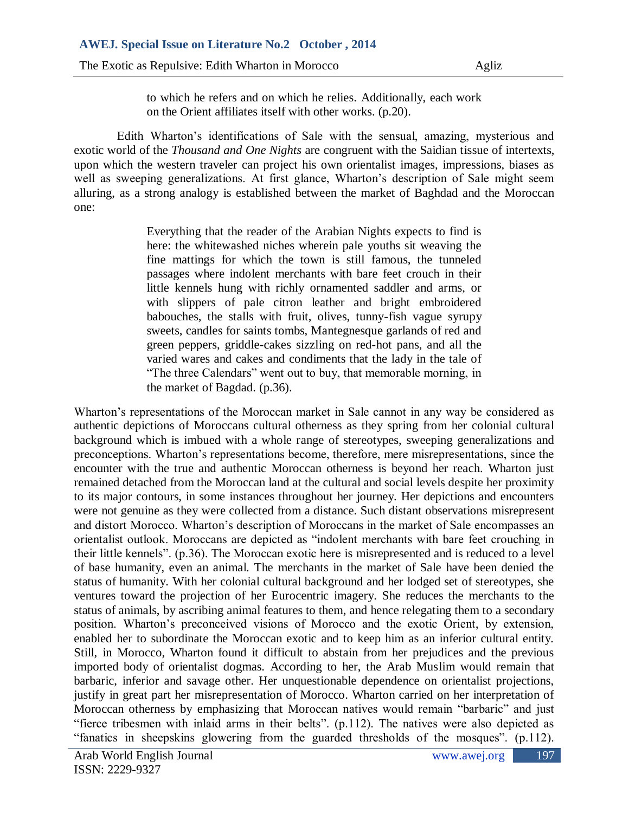The Exotic as Repulsive: Edith Wharton in Morocco Agliz

to which he refers and on which he relies. Additionally, each work on the Orient affiliates itself with other works. (p.20).

 Edith Wharton's identifications of Sale with the sensual, amazing, mysterious and exotic world of the *Thousand and One Nights* are congruent with the Saidian tissue of intertexts, upon which the western traveler can project his own orientalist images, impressions, biases as well as sweeping generalizations. At first glance, Wharton's description of Sale might seem alluring, as a strong analogy is established between the market of Baghdad and the Moroccan one:

> Everything that the reader of the Arabian Nights expects to find is here: the whitewashed niches wherein pale youths sit weaving the fine mattings for which the town is still famous, the tunneled passages where indolent merchants with bare feet crouch in their little kennels hung with richly ornamented saddler and arms, or with slippers of pale citron leather and bright embroidered babouches, the stalls with fruit, olives, tunny-fish vague syrupy sweets, candles for saints tombs, Mantegnesque garlands of red and green peppers, griddle-cakes sizzling on red-hot pans, and all the varied wares and cakes and condiments that the lady in the tale of "The three Calendars" went out to buy, that memorable morning, in the market of Bagdad. (p.36).

Wharton's representations of the Moroccan market in Sale cannot in any way be considered as authentic depictions of Moroccans cultural otherness as they spring from her colonial cultural background which is imbued with a whole range of stereotypes, sweeping generalizations and preconceptions. Wharton's representations become, therefore, mere misrepresentations, since the encounter with the true and authentic Moroccan otherness is beyond her reach. Wharton just remained detached from the Moroccan land at the cultural and social levels despite her proximity to its major contours, in some instances throughout her journey. Her depictions and encounters were not genuine as they were collected from a distance. Such distant observations misrepresent and distort Morocco. Wharton's description of Moroccans in the market of Sale encompasses an orientalist outlook. Moroccans are depicted as "indolent merchants with bare feet crouching in their little kennels". (p.36). The Moroccan exotic here is misrepresented and is reduced to a level of base humanity, even an animal. The merchants in the market of Sale have been denied the status of humanity. With her colonial cultural background and her lodged set of stereotypes, she ventures toward the projection of her Eurocentric imagery. She reduces the merchants to the status of animals, by ascribing animal features to them, and hence relegating them to a secondary position. Wharton's preconceived visions of Morocco and the exotic Orient, by extension, enabled her to subordinate the Moroccan exotic and to keep him as an inferior cultural entity. Still, in Morocco, Wharton found it difficult to abstain from her prejudices and the previous imported body of orientalist dogmas. According to her, the Arab Muslim would remain that barbaric, inferior and savage other. Her unquestionable dependence on orientalist projections, justify in great part her misrepresentation of Morocco. Wharton carried on her interpretation of Moroccan otherness by emphasizing that Moroccan natives would remain "barbaric" and just "fierce tribesmen with inlaid arms in their belts". (p.112). The natives were also depicted as "fanatics in sheepskins glowering from the guarded thresholds of the mosques". (p.112).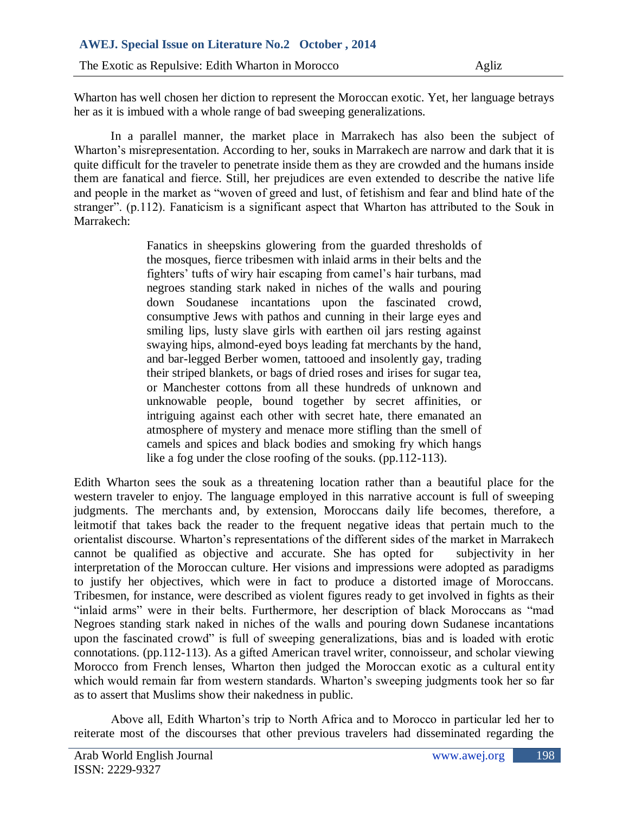The Exotic as Repulsive: Edith Wharton in Morocco Agliz

Wharton has well chosen her diction to represent the Moroccan exotic. Yet, her language betrays her as it is imbued with a whole range of bad sweeping generalizations.

 In a parallel manner, the market place in Marrakech has also been the subject of Wharton's misrepresentation. According to her, souks in Marrakech are narrow and dark that it is quite difficult for the traveler to penetrate inside them as they are crowded and the humans inside them are fanatical and fierce. Still, her prejudices are even extended to describe the native life and people in the market as "woven of greed and lust, of fetishism and fear and blind hate of the stranger". (p.112). Fanaticism is a significant aspect that Wharton has attributed to the Souk in Marrakech:

> Fanatics in sheepskins glowering from the guarded thresholds of the mosques, fierce tribesmen with inlaid arms in their belts and the fighters' tufts of wiry hair escaping from camel's hair turbans, mad negroes standing stark naked in niches of the walls and pouring down Soudanese incantations upon the fascinated crowd, consumptive Jews with pathos and cunning in their large eyes and smiling lips, lusty slave girls with earthen oil jars resting against swaying hips, almond-eyed boys leading fat merchants by the hand, and bar-legged Berber women, tattooed and insolently gay, trading their striped blankets, or bags of dried roses and irises for sugar tea, or Manchester cottons from all these hundreds of unknown and unknowable people, bound together by secret affinities, or intriguing against each other with secret hate, there emanated an atmosphere of mystery and menace more stifling than the smell of camels and spices and black bodies and smoking fry which hangs like a fog under the close roofing of the souks. (pp.112-113).

Edith Wharton sees the souk as a threatening location rather than a beautiful place for the western traveler to enjoy. The language employed in this narrative account is full of sweeping judgments. The merchants and, by extension, Moroccans daily life becomes, therefore, a leitmotif that takes back the reader to the frequent negative ideas that pertain much to the orientalist discourse. Wharton's representations of the different sides of the market in Marrakech cannot be qualified as objective and accurate. She has opted for subjectivity in her interpretation of the Moroccan culture. Her visions and impressions were adopted as paradigms to justify her objectives, which were in fact to produce a distorted image of Moroccans. Tribesmen, for instance, were described as violent figures ready to get involved in fights as their "inlaid arms" were in their belts. Furthermore, her description of black Moroccans as "mad Negroes standing stark naked in niches of the walls and pouring down Sudanese incantations upon the fascinated crowd" is full of sweeping generalizations, bias and is loaded with erotic connotations. (pp.112-113). As a gifted American travel writer, connoisseur, and scholar viewing Morocco from French lenses, Wharton then judged the Moroccan exotic as a cultural entity which would remain far from western standards. Wharton's sweeping judgments took her so far as to assert that Muslims show their nakedness in public.

 Above all, Edith Wharton's trip to North Africa and to Morocco in particular led her to reiterate most of the discourses that other previous travelers had disseminated regarding the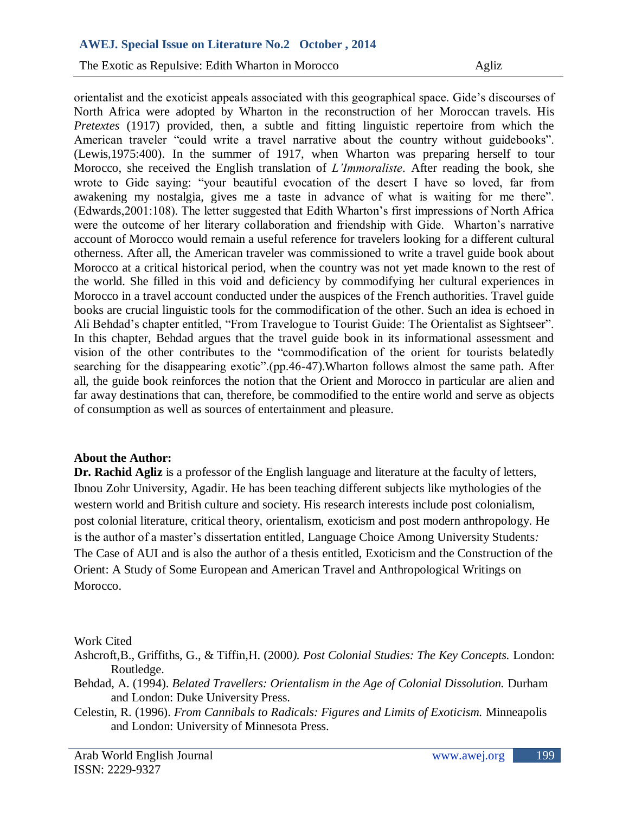The Exotic as Repulsive: Edith Wharton in Morocco Agliz

orientalist and the exoticist appeals associated with this geographical space. Gide's discourses of Pretextes (1917) provided, then, a subtle and fitting linguistic repertoire from which the North Africa were adopted by Wharton in the reconstruction of her Moroccan travels. His American traveler "could write a travel narrative about the country without guidebooks". (Lewis,1975:400). In the summer of 1917, when Wharton was preparing herself to tour Morocco, she received the English translation of *L'Immoraliste*. After reading the book, she wrote to Gide saying: "your beautiful evocation of the desert I have so loved, far from awakening my nostalgia, gives me a taste in advance of what is waiting for me there". (Edwards,2001:108). The letter suggested that Edith Wharton's first impressions of North Africa were the outcome of her literary collaboration and friendship with Gide. Wharton's narrative account of Morocco would remain a useful reference for travelers looking for a different cultural otherness. After all, the American traveler was commissioned to write a travel guide book about Morocco at a critical historical period, when the country was not yet made known to the rest of the world. She filled in this void and deficiency by commodifying her cultural experiences in Morocco in a travel account conducted under the auspices of the French authorities. Travel guide books are crucial linguistic tools for the commodification of the other. Such an idea is echoed in Ali Behdad's chapter entitled, "From Travelogue to Tourist Guide: The Orientalist as Sightseer". In this chapter, Behdad argues that the travel guide book in its informational assessment and vision of the other contributes to the "commodification of the orient for tourists belatedly searching for the disappearing exotic".(pp.46-47).Wharton follows almost the same path. After all, the guide book reinforces the notion that the Orient and Morocco in particular are alien and far away destinations that can, therefore, be commodified to the entire world and serve as objects of consumption as well as sources of entertainment and pleasure.

#### **About the Author:**

**Dr. Rachid Agliz** is a professor of the English language and literature at the faculty of letters, Ibnou Zohr University, Agadir. He has been teaching different subjects like mythologies of the western world and British culture and society. His research interests include post colonialism, post colonial literature, critical theory, orientalism, exoticism and post modern anthropology. He is the author of a master's dissertation entitled*,* Language Choice Among University Students*:*  The Case of AUI and is also the author of a thesis entitled, Exoticism and the Construction of the Orient: A Study of Some European and American Travel and Anthropological Writings on Morocco.

Work Cited

- Ashcroft,B., Griffiths, G., & Tiffin,H. (2000*). Post Colonial Studies: The Key Concepts.* London: Routledge.
- Behdad, A. (1994). *Belated Travellers: Orientalism in the Age of Colonial Dissolution.* Durham and London: Duke University Press.
- Celestin, R. (1996). *From Cannibals to Radicals: Figures and Limits of Exoticism.* Minneapolis and London: University of Minnesota Press.